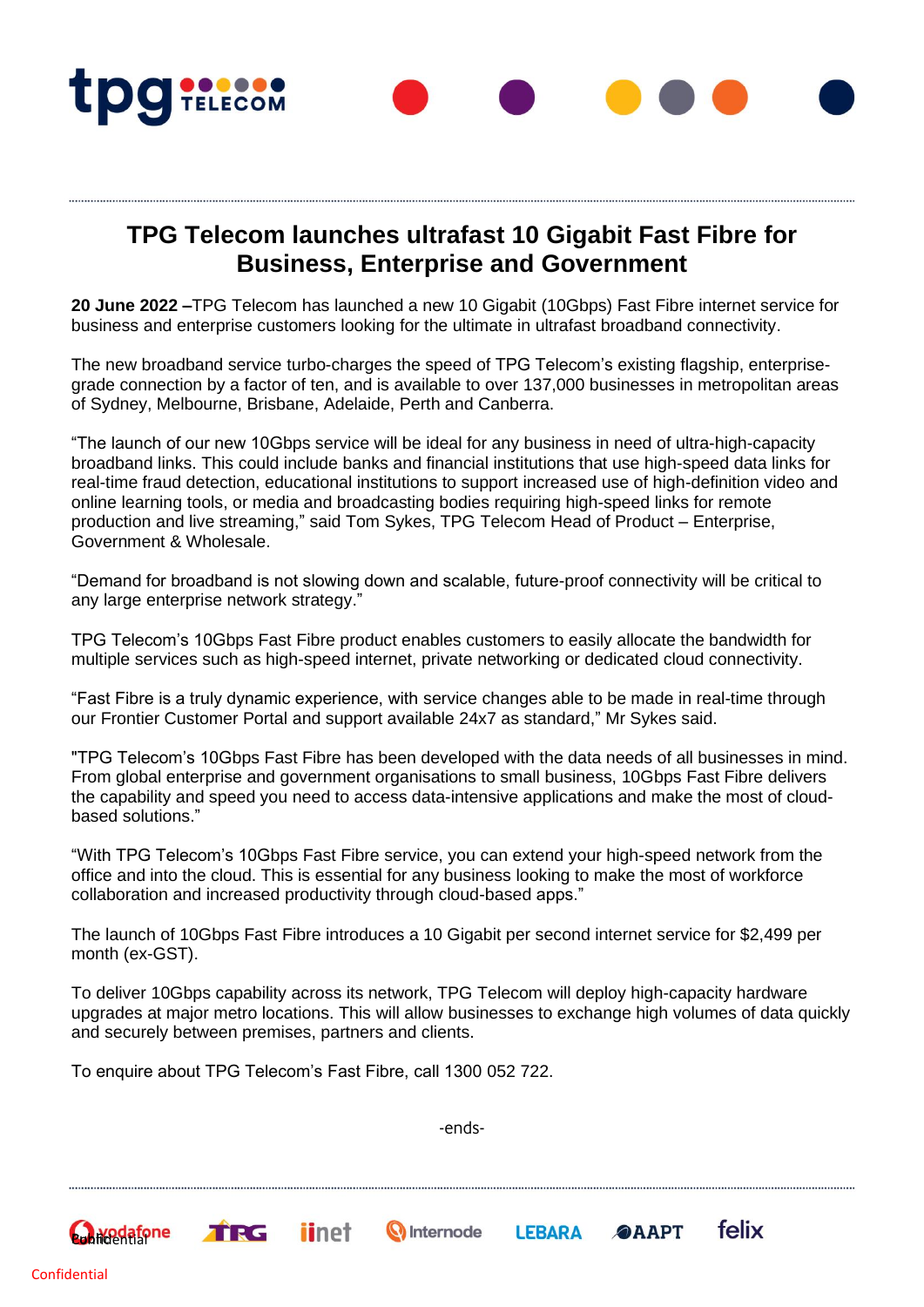

## **TPG Telecom launches ultrafast 10 Gigabit Fast Fibre for Business, Enterprise and Government**

**20 June 2022 –**TPG Telecom has launched a new 10 Gigabit (10Gbps) Fast Fibre internet service for business and enterprise customers looking for the ultimate in ultrafast broadband connectivity.

The new broadband service turbo-charges the speed of TPG Telecom's existing flagship, enterprisegrade connection by a factor of ten, and is available to over 137,000 businesses in metropolitan areas of Sydney, Melbourne, Brisbane, Adelaide, Perth and Canberra.

"The launch of our new 10Gbps service will be ideal for any business in need of ultra-high-capacity broadband links. This could include banks and financial institutions that use high-speed data links for real-time fraud detection, educational institutions to support increased use of high-definition video and online learning tools, or media and broadcasting bodies requiring high-speed links for remote production and live streaming," said Tom Sykes, TPG Telecom Head of Product – Enterprise, Government & Wholesale.

"Demand for broadband is not slowing down and scalable, future-proof connectivity will be critical to any large enterprise network strategy."

TPG Telecom's 10Gbps Fast Fibre product enables customers to easily allocate the bandwidth for multiple services such as high-speed internet, private networking or dedicated cloud connectivity.

"Fast Fibre is a truly dynamic experience, with service changes able to be made in real-time through our Frontier Customer Portal and support available 24x7 as standard," Mr Sykes said.

"TPG Telecom's 10Gbps Fast Fibre has been developed with the data needs of all businesses in mind. From global enterprise and government organisations to small business, 10Gbps Fast Fibre delivers the capability and speed you need to access data-intensive applications and make the most of cloudbased solutions."

"With TPG Telecom's 10Gbps Fast Fibre service, you can extend your high-speed network from the office and into the cloud. This is essential for any business looking to make the most of workforce collaboration and increased productivity through cloud-based apps."

The launch of 10Gbps Fast Fibre introduces a 10 Gigabit per second internet service for \$2,499 per month (ex-GST).

To deliver 10Gbps capability across its network, TPG Telecom will deploy high-capacity hardware upgrades at major metro locations. This will allow businesses to exchange high volumes of data quickly and securely between premises, partners and clients.

To enquire about TPG Telecom's Fast Fibre, call 1300 052 722.

**iinet** 

TRG

-ends-

**Q** Internode

felix

**OAAPT** 

**LEBARA**